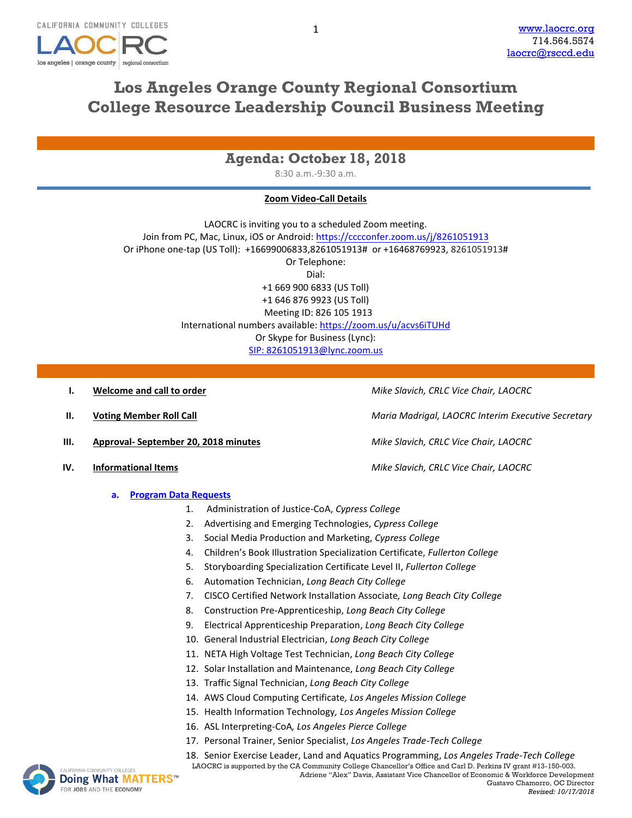

# **Los Angeles Orange County Regional Consortium College Resource Leadership Council Business Meeting**

1

## **Agenda: October 18, 2018**

8:30 a.m.-9:30 a.m.

### **Zoom Video-Call Details**

LAOCRC is inviting you to a scheduled Zoom meeting. Join from PC, Mac, Linux, iOS or Android:<https://cccconfer.zoom.us/j/8261051913> Or iPhone one-tap (US Toll): +16699006833,8261051913# or +16468769923, 8261051913# Or Telephone: Dial: +1 669 900 6833 (US Toll) +1 646 876 9923 (US Toll) Meeting ID: 826 105 1913 International numbers available:<https://zoom.us/u/acvs6iTUHd> Or Skype for Business (Lync): SIP: [8261051913@lync.zoom.us](mailto:SIP:%208261051913@lync.zoom.us)

- **I. Welcome and call to order** *Mike Slavich, CRLC Vice Chair, LAOCRC*
- 
- **III. Approval- September 20, 2018 minutes** *Mike Slavich, CRLC Vice Chair, LAOCRC*
- **IV. Informational Items** *Mike Slavich, CRLC Vice Chair, LAOCRC*
	- **a. [Program Data Requests](http://www.laocrc.org/educators/program-approval/program-intents)**
		- 1. Administration of Justice-CoA, *Cypress College*
		- 2. Advertising and Emerging Technologies, *Cypress College*
		- 3. Social Media Production and Marketing, *Cypress College*
		- 4. Children's Book Illustration Specialization Certificate, *Fullerton College*
		- 5. Storyboarding Specialization Certificate Level II, *Fullerton College*
		- 6. Automation Technician, *Long Beach City College*
		- 7. CISCO Certified Network Installation Associate*, Long Beach City College*
		- 8. Construction Pre-Apprenticeship, *Long Beach City College*
		- 9. Electrical Apprenticeship Preparation, *Long Beach City College*
		- 10. General Industrial Electrician, *Long Beach City College*
		- 11. NETA High Voltage Test Technician, *Long Beach City College*
		- 12. Solar Installation and Maintenance, *Long Beach City College*
		- 13. Traffic Signal Technician, *Long Beach City College*
		- 14. AWS Cloud Computing Certificate*, Los Angeles Mission College*
		- 15. Health Information Technology*, Los Angeles Mission College*
		- 16. ASL Interpreting-CoA*, Los Angeles Pierce College*
		- 17. Personal Trainer, Senior Specialist, *Los Angeles Trade-Tech College*
		- LAOCRC is supported by the CA Community College Chancellor's Office and Carl D. Perkins IV grant #13-150-003. [18](http://www.doingwhatmatters.cccco.edu/). Senior Exercise Leader, Land and Aquatics Programming, *Los Angeles Trade-Tech College*



Adriene "Alex" Davis, Assistant Vice Chancellor of Economic & Workforce Development Gustavo Chamorro, OC Director *Revised: 10/17/2018*

**II. Voting Member Roll Call** *Maria Madrigal, LAOCRC Interim Executive Secretary*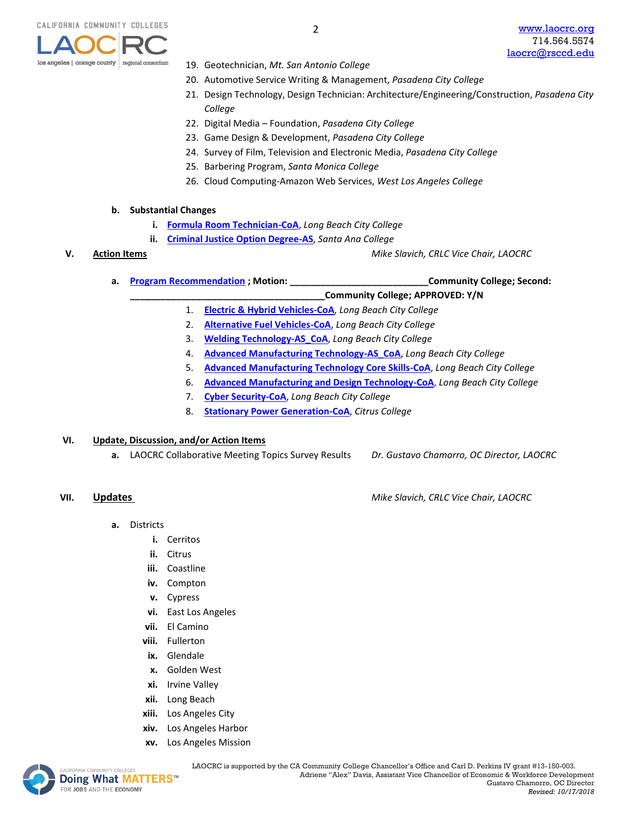

- 19. Geotechnician, *Mt. San Antonio College*
- 20. Automotive Service Writing & Management, *Pasadena City College*
- 21. Design Technology, Design Technician: Architecture/Engineering/Construction, *Pasadena City College*
- 22. Digital Media Foundation, *Pasadena City College*
- 23. Game Design & Development, *Pasadena City College*
- 24. Survey of Film, Television and Electronic Media, *Pasadena City College*
- 25. Barbering Program, *Santa Monica College*
- 26. Cloud Computing-Amazon Web Services, *West Los Angeles College*

### **b. Substantial Changes**

- **i. [Formula Room Technician-CoA](https://www.regionalcte.org/browse/ZyBq4)**, *Long Beach City College*
- **ii. [Criminal Justice Option Degree-AS](https://www.regionalcte.org/browse/ZbjQZ)**, *Santa Ana College*

**V. Action Items** *Mike Slavich, CRLC Vice Chair, LAOCRC*

**a. [Program Recommendation](https://www.regionalcte.org/browse?region=4&status=4&search=&submit=) ; Motion: \_\_\_\_\_\_\_\_\_\_\_\_\_\_\_\_\_\_\_\_\_\_\_\_\_\_\_Community College; Second:**

**\_\_\_\_\_\_\_\_\_\_\_\_\_\_\_\_\_\_\_\_\_\_\_\_\_\_\_\_\_\_\_\_\_\_\_\_\_\_Community College; APPROVED: Y/N**

- 1. **[Electric & Hybrid Vehicles-CoA](https://www.regionalcte.org/browse/Z6803)**, *Long Beach City College*
- 2. **[Alternative Fuel Vehicles-CoA](https://www.regionalcte.org/browse/3G1DZ)**, *Long Beach City College*
- 3. **[Welding Technology-AS\\_CoA](https://www.regionalcte.org/browse/ZRgp4)**, *Long Beach City College*
- 4. **[Advanced Manufacturing Technology-AS\\_CoA](https://www.regionalcte.org/browse/KAY5K)**, *Long Beach City College*
- 5. **[Advanced Manufacturing Technology Core Skills-CoA](https://www.regionalcte.org/browse/KkW0K)**, *Long Beach City College*
- 6. **[Advanced Manufacturing and Design Technology-CoA](https://www.regionalcte.org/browse/3qxq4)**, *Long Beach City College*
- 7. **[Cyber Security-CoA](https://www.regionalcte.org/browse/38edK)**, *Long Beach City College*
- 8. **[Stationary Power Generation-CoA](https://www.regionalcte.org/browse/KlbQ4)**, *Citrus College*

### **VI. Update, Discussion, and/or Action Items**

**a.** LAOCRC Collaborative Meeting Topics Survey Results *Dr. Gustavo Chamorro, OC Director, LAOCRC*

**VII. Updates** *Mike Slavich, CRLC Vice Chair, LAOCRC*

- **a.** Districts
	- **i.** Cerritos
	- **ii.** Citrus
	- **iii.** Coastline
	- **iv.** Compton
	- **v.** Cypress
	- **vi.** East Los Angeles
	- **vii.** El Camino
	- **viii.** Fullerton
	- **ix.** Glendale
	- **x.** Golden West
	- **xi.** Irvine Valley
	- **xii.** Long Beach
	- **xiii.** Los Angeles City
	- **xiv.** Los Angeles Harbor
	- **xv.** Los Angeles Mission